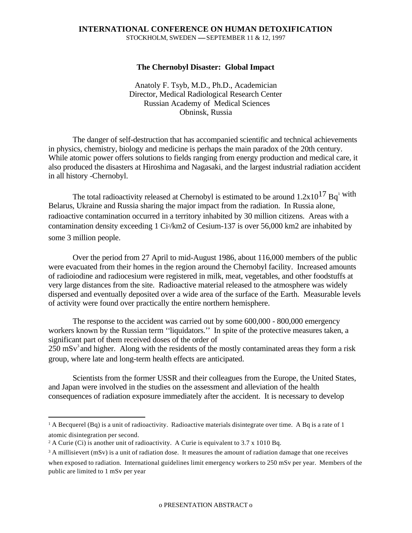## **INTERNATIONAL CONFERENCE ON HUMAN DETOXIFICATION** STOCKHOLM, SWEDEN  $-$ -SEPTEMBER 11 & 12, 1997

## **The Chernobyl Disaster: Global Impact**

Anatoly F. Tsyb, M.D., Ph.D., Academician Director, Medical Radiological Research Center Russian Academy of Medical Sciences Obninsk, Russia

The danger of self-destruction that has accompanied scientific and technical achievements in physics, chemistry, biology and medicine is perhaps the main paradox of the 20th century. While atomic power offers solutions to fields ranging from energy production and medical care, it also produced the disasters at Hiroshima and Nagasaki, and the largest industrial radiation accident in all history -Chernobyl.

The total radioactivity released at Chernobyl is estimated to be around  $1.2x10^{17}$  Bq<sup>1</sup> with Belarus, Ukraine and Russia sharing the major impact from the radiation. In Russia alone, radioactive contamination occurred in a territory inhabited by 30 million citizens. Areas with a contamination density exceeding 1 Ci2/km2 of Cesium-137 is over 56,000 km2 are inhabited by some 3 million people.

Over the period from 27 April to mid-August 1986, about 116,000 members of the public were evacuated from their homes in the region around the Chernobyl facility. Increased amounts of radioiodine and radiocesium were registered in milk, meat, vegetables, and other foodstuffs at very large distances from the site. Radioactive material released to the atmosphere was widely dispersed and eventually deposited over a wide area of the surface of the Earth. Measurable levels of activity were found over practically the entire northern hemisphere.

The response to the accident was carried out by some 600,000 - 800,000 emergency workers known by the Russian term ''liquidators.'' In spite of the protective measures taken, a significant part of them received doses of the order of  $250$  mSv<sup>3</sup> and higher. Along with the residents of the mostly contaminated areas they form a risk group, where late and long-term health effects are anticipated.

Scientists from the former USSR and their colleagues from the Europe, the United States, and Japan were involved in the studies on the assessment and alleviation of the health consequences of radiation exposure immediately after the accident. It is necessary to develop

 $\overline{a}$ <sup>1</sup> A Becquerel (Bq) is a unit of radioactivity. Radioactive materials disintegrate over time. A Bq is a rate of 1 atomic disintegration per second.

<sup>&</sup>lt;sup>2</sup> A Curie (Ci) is another unit of radioactivity. A Curie is equivalent to 3.7 x 1010 Bq.

<sup>&</sup>lt;sup>3</sup> A millisievert (mSv) is a unit of radiation dose. It measures the amount of radiation damage that one receives when exposed to radiation. International guidelines limit emergency workers to 250 mSv per year. Members of the public are limited to 1 mSv per year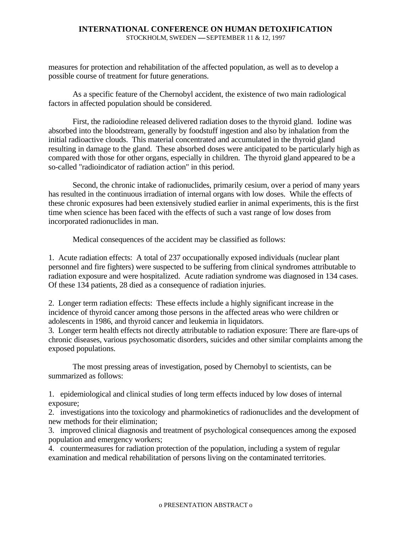## **INTERNATIONAL CONFERENCE ON HUMAN DETOXIFICATION** STOCKHOLM, SWEDEN  $-$ -SEPTEMBER 11 & 12, 1997

measures for protection and rehabilitation of the affected population, as well as to develop a possible course of treatment for future generations.

As a specific feature of the Chernobyl accident, the existence of two main radiological factors in affected population should be considered.

First, the radioiodine released delivered radiation doses to the thyroid gland. Iodine was absorbed into the bloodstream, generally by foodstuff ingestion and also by inhalation from the initial radioactive clouds. This material concentrated and accumulated in the thyroid gland resulting in damage to the gland. These absorbed doses were anticipated to be particularly high as compared with those for other organs, especially in children. The thyroid gland appeared to be a so-called "radioindicator of radiation action" in this period.

Second, the chronic intake of radionuclides, primarily cesium, over a period of many years has resulted in the continuous irradiation of internal organs with low doses. While the effects of these chronic exposures had been extensively studied earlier in animal experiments, this is the first time when science has been faced with the effects of such a vast range of low doses from incorporated radionuclides in man.

Medical consequences of the accident may be classified as follows:

1. Acute radiation effects: A total of 237 occupationally exposed individuals (nuclear plant personnel and fire fighters) were suspected to be suffering from clinical syndromes attributable to radiation exposure and were hospitalized. Acute radiation syndrome was diagnosed in 134 cases. Of these 134 patients, 28 died as a consequence of radiation injuries.

2. Longer term radiation effects: These effects include a highly significant increase in the incidence of thyroid cancer among those persons in the affected areas who were children or adolescents in 1986, and thyroid cancer and leukemia in liquidators.

3. Longer term health effects not directly attributable to radiation exposure: There are flare-ups of chronic diseases, various psychosomatic disorders, suicides and other similar complaints among the exposed populations.

The most pressing areas of investigation, posed by Chernobyl to scientists, can be summarized as follows:

1. epidemiological and clinical studies of long term effects induced by low doses of internal exposure;

2. investigations into the toxicology and pharmokinetics of radionuclides and the development of new methods for their elimination;

3. improved clinical diagnosis and treatment of psychological consequences among the exposed population and emergency workers;

4. countermeasures for radiation protection of the population, including a system of regular examination and medical rehabilitation of persons living on the contaminated territories.